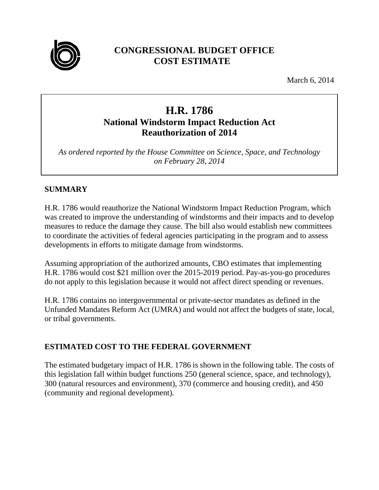

## **CONGRESSIONAL BUDGET OFFICE COST ESTIMATE**

March 6, 2014

# **H.R. 1786 National Windstorm Impact Reduction Act Reauthorization of 2014**

*As ordered reported by the House Committee on Science, Space, and Technology on February 28, 2014* 

## **SUMMARY**

H.R. 1786 would reauthorize the National Windstorm Impact Reduction Program, which was created to improve the understanding of windstorms and their impacts and to develop measures to reduce the damage they cause. The bill also would establish new committees to coordinate the activities of federal agencies participating in the program and to assess developments in efforts to mitigate damage from windstorms.

Assuming appropriation of the authorized amounts, CBO estimates that implementing H.R. 1786 would cost \$21 million over the 2015-2019 period. Pay-as-you-go procedures do not apply to this legislation because it would not affect direct spending or revenues.

H.R. 1786 contains no intergovernmental or private-sector mandates as defined in the Unfunded Mandates Reform Act (UMRA) and would not affect the budgets of state, local, or tribal governments.

## **ESTIMATED COST TO THE FEDERAL GOVERNMENT**

The estimated budgetary impact of H.R. 1786 is shown in the following table. The costs of this legislation fall within budget functions 250 (general science, space, and technology), 300 (natural resources and environment), 370 (commerce and housing credit), and 450 (community and regional development).